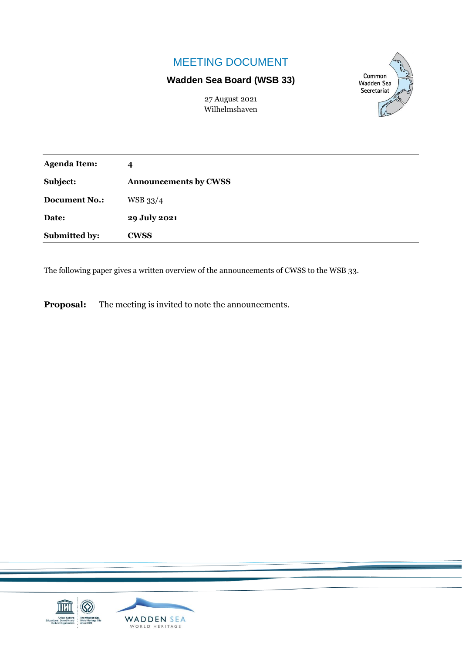## MEETING DOCUMENT

## **Wadden Sea Board (WSB 33)**

Common **Wadden Sea** Secretariat

27 August 2021 Wilhelmshaven

| <b>Agenda Item:</b>  | 4                            |
|----------------------|------------------------------|
| Subject:             | <b>Announcements by CWSS</b> |
| <b>Document No.:</b> | WSB 33/4                     |
| Date:                | 29 July 2021                 |
| Submitted by:        | <b>CWSS</b>                  |

The following paper gives a written overview of the announcements of CWSS to the WSB 33.

**Proposal:** The meeting is invited to note the announcements.